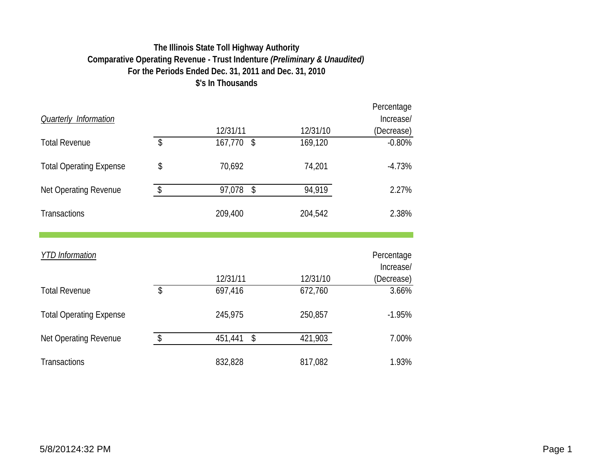## **The Illinois State Toll Highway Authority Comparative Operating Revenue - Trust Indenture** *(Preliminary & Unaudited)* **For the Periods Ended Dec. 31, 2011 and Dec. 31, 2010 \$'s In Thousands**

|                                |                                 |               |          | Percentage              |
|--------------------------------|---------------------------------|---------------|----------|-------------------------|
| <b>Quarterly Information</b>   |                                 |               |          | Increase/               |
|                                |                                 | 12/31/11      | 12/31/10 | (Decrease)              |
| <b>Total Revenue</b>           | $\boldsymbol{\hat{\mathsf{S}}}$ | 167,770<br>\$ | 169,120  | $-0.80%$                |
| <b>Total Operating Expense</b> | \$                              | 70,692        | 74,201   | $-4.73%$                |
| Net Operating Revenue          | $\sqrt[6]{\frac{1}{2}}$         | 97,078<br>\$  | 94,919   | 2.27%                   |
| <b>Transactions</b>            |                                 | 209,400       | 204,542  | 2.38%                   |
| <b>YTD</b> Information         |                                 |               |          | Percentage<br>Increase/ |
|                                |                                 | 12/31/11      | 12/31/10 | (Decrease)              |
| <b>Total Revenue</b>           | $\boldsymbol{\mathsf{S}}$       | 697,416       | 672,760  | 3.66%                   |
| <b>Total Operating Expense</b> |                                 | 245,975       | 250,857  | $-1.95%$                |
| <b>Net Operating Revenue</b>   | \$                              | \$<br>451,441 | 421,903  | 7.00%                   |
| <b>Transactions</b>            |                                 | 832,828       | 817,082  | 1.93%                   |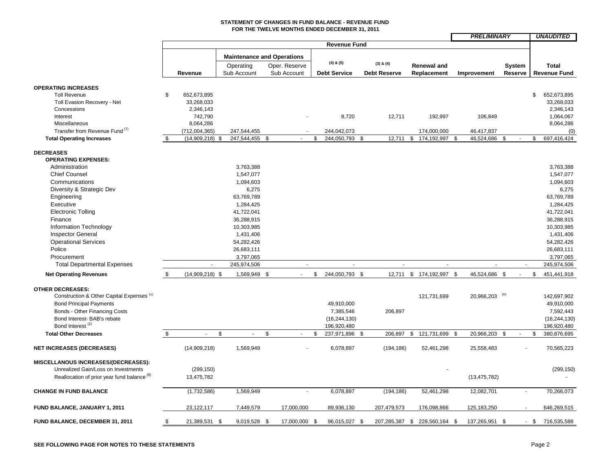#### **STATEMENT OF CHANGES IN FUND BALANCE - REVENUE FUND FOR THE TWELVE MONTHS ENDED DECEMBER 31, 2011**

|                                                            |     |                   |                                       |              |                             |                                  |                               |                          | <b>PRELIMINARY</b>             |               |                |        | <b>UNAUDITED</b>    |
|------------------------------------------------------------|-----|-------------------|---------------------------------------|--------------|-----------------------------|----------------------------------|-------------------------------|--------------------------|--------------------------------|---------------|----------------|--------|---------------------|
|                                                            |     |                   |                                       |              |                             | <b>Revenue Fund</b>              |                               |                          |                                |               |                |        |                     |
|                                                            |     |                   |                                       |              |                             |                                  |                               |                          |                                |               |                |        |                     |
|                                                            |     |                   | <b>Maintenance and Operations</b>     |              |                             | $(4)$ & $(5)$                    |                               |                          |                                |               |                |        |                     |
|                                                            |     |                   | Operating                             |              | Oper. Reserve               |                                  | $(3)$ & $(4)$                 | <b>Renewal and</b>       |                                | <b>System</b> |                |        | <b>Total</b>        |
|                                                            |     | Revenue           | Sub Account                           |              | Sub Account                 | <b>Debt Service</b>              | <b>Debt Reserve</b>           | Replacement              | Improvement                    | Reserve       |                |        | <b>Revenue Fund</b> |
|                                                            |     |                   |                                       |              |                             |                                  |                               |                          |                                |               |                |        |                     |
| <b>OPERATING INCREASES</b>                                 |     |                   |                                       |              |                             |                                  |                               |                          |                                |               |                |        |                     |
| <b>Toll Revenue</b>                                        | \$. | 652,673,895       |                                       |              |                             |                                  |                               |                          |                                |               |                | \$     | 652,673,895         |
| Toll Evasion Recovery - Net                                |     | 33,268,033        |                                       |              |                             |                                  |                               |                          |                                |               |                |        | 33,268,033          |
| Concessions                                                |     | 2,346,143         |                                       |              |                             |                                  |                               |                          |                                |               |                |        | 2,346,143           |
| Interest                                                   |     | 742,790           |                                       |              |                             | 8,720                            | 12,711                        | 192,997                  | 106,849                        |               |                |        | 1,064,067           |
| Miscellaneous<br>Transfer from Revenue Fund <sup>(7)</sup> |     | 8,064,286         |                                       |              |                             |                                  |                               |                          |                                |               |                |        | 8,064,286           |
|                                                            |     | (712,004,365)     | 247,544,455<br>247,544,455 \$<br>- \$ |              |                             | \$<br>244,042,073<br>244,050,793 | \$                            | \$<br>174,000,000        | \$<br>46,417,837<br>46,524,686 | \$            |                | \$     | (0)<br>697,416,424  |
| <b>Total Operating Increases</b>                           | \$  | (14,909,218)      |                                       |              |                             |                                  | 12,711                        | 174,192,997              |                                |               |                |        |                     |
| <b>DECREASES</b>                                           |     |                   |                                       |              |                             |                                  |                               |                          |                                |               |                |        |                     |
| <b>OPERATING EXPENSES:</b>                                 |     |                   |                                       |              |                             |                                  |                               |                          |                                |               |                |        |                     |
| Administration                                             |     |                   | 3,763,388                             |              |                             |                                  |                               |                          |                                |               |                |        | 3,763,388           |
| <b>Chief Counsel</b>                                       |     |                   | 1,547,077                             |              |                             |                                  |                               |                          |                                |               |                |        | 1,547,077           |
| Communications                                             |     |                   | 1,094,603                             |              |                             |                                  |                               |                          |                                |               |                |        | 1,094,603           |
| Diversity & Strategic Dev                                  |     |                   | 6,275                                 |              |                             |                                  |                               |                          |                                |               |                |        | 6,275               |
| Engineering                                                |     |                   | 63,769,789                            |              |                             |                                  |                               |                          |                                |               |                |        | 63,769,789          |
| Executive                                                  |     |                   | 1,284,425                             |              |                             |                                  |                               |                          |                                |               |                |        | 1,284,425           |
| <b>Electronic Tolling</b>                                  |     |                   | 41,722,041                            |              |                             |                                  |                               |                          |                                |               |                |        | 41,722,041          |
| Finance                                                    |     |                   | 36,288,915                            |              |                             |                                  |                               |                          |                                |               |                |        | 36,288,915          |
| Information Technology                                     |     |                   | 10,303,985                            |              |                             |                                  |                               |                          |                                |               |                |        | 10,303,985          |
| <b>Inspector General</b>                                   |     |                   | 1,431,406                             |              |                             |                                  |                               |                          |                                |               |                |        | 1,431,406           |
| <b>Operational Services</b>                                |     |                   | 54,282,426                            |              |                             |                                  |                               |                          |                                |               |                |        | 54,282,426          |
| Police                                                     |     |                   | 26,683,111                            |              |                             |                                  |                               |                          |                                |               |                |        | 26,683,111          |
| Procurement                                                |     |                   | 3,797,065                             |              |                             |                                  |                               |                          |                                |               |                |        | 3,797,065           |
| <b>Total Departmental Expenses</b>                         |     | $\sim$            | 245,974,506                           |              | $\sim$                      | $\omega$                         | $\sim$                        | $\sim$                   | $\sim$                         |               | $\blacksquare$ |        | 245,974,506         |
| <b>Net Operating Revenues</b>                              | \$  | $(14,909,218)$ \$ | 1,569,949 \$                          |              | $\mathcal{L}^{\mathcal{L}}$ | \$<br>244,050,793 \$             |                               | 12,711 \$ 174,192,997 \$ | 46,524,686 \$                  |               |                | \$     | 451,441,918         |
|                                                            |     |                   |                                       |              |                             |                                  |                               |                          |                                |               |                |        |                     |
| <b>OTHER DECREASES:</b>                                    |     |                   |                                       |              |                             |                                  |                               |                          |                                |               |                |        |                     |
| Construction & Other Capital Expenses <sup>(1)</sup>       |     |                   |                                       |              |                             |                                  |                               | 121,731,699              | 20,966,203 (6)                 |               |                |        | 142,697,902         |
| <b>Bond Principal Payments</b>                             |     |                   |                                       |              |                             | 49,910,000                       |                               |                          |                                |               |                |        | 49,910,000          |
| Bonds - Other Financing Costs                              |     |                   |                                       |              |                             | 7,385,546                        | 206,897                       |                          |                                |               |                |        | 7,592,443           |
| Bond Interest- BAB's rebate                                |     |                   |                                       |              |                             | (16, 244, 130)                   |                               |                          |                                |               |                |        | (16, 244, 130)      |
| Bond Interest <sup>(2)</sup>                               |     |                   |                                       |              |                             | 196,920,480                      |                               |                          |                                |               |                |        | 196,920,480         |
| <b>Total Other Decreases</b>                               | \$  | $\sim$            | $\mathfrak s$<br>$\omega$             | $\mathbb{S}$ | $\sim$                      | \$<br>237,971,896 \$             | 206,897                       | \$<br>121,731,699 \$     | 20,966,203                     | <b>S</b>      |                | \$     | 380,876,695         |
|                                                            |     |                   |                                       |              |                             |                                  |                               |                          |                                |               |                |        |                     |
| <b>NET INCREASES (DECREASES)</b>                           |     | (14,909,218)      | 1,569,949                             |              |                             | 6,078,897                        | (194, 186)                    | 52,461,298               | 25,558,483                     |               |                |        | 70,565,223          |
|                                                            |     |                   |                                       |              |                             |                                  |                               |                          |                                |               |                |        |                     |
| MISCELLANOUS INCREASES/(DECREASES):                        |     |                   |                                       |              |                             |                                  |                               |                          |                                |               |                |        |                     |
| Unrealized Gain/Loss on Investments                        |     | (299, 150)        |                                       |              |                             |                                  |                               |                          |                                |               |                |        | (299, 150)          |
| Reallocation of prior year fund balance <sup>(8)</sup>     |     | 13,475,782        |                                       |              |                             |                                  |                               |                          | (13, 475, 782)                 |               |                |        |                     |
| <b>CHANGE IN FUND BALANCE</b>                              |     | (1,732,586)       | 1,569,949                             |              | $\overline{\phantom{a}}$    | 6,078,897                        | (194, 186)                    | 52,461,298               | 12,082,701                     |               | $\sim$         |        | 70,266,073          |
|                                                            |     |                   |                                       |              |                             |                                  |                               |                          |                                |               |                |        |                     |
|                                                            |     |                   |                                       |              |                             |                                  |                               |                          |                                |               |                |        |                     |
| FUND BALANCE, JANUARY 1, 2011                              |     | 23,122,117        | 7,449,579                             |              | 17,000,000                  | 89,936,130                       | 207,479,573                   | 176,098,866              | 125,183,250                    |               |                |        | 646,269,515         |
| FUND BALANCE, DECEMBER 31, 2011                            | \$  | 21,389,531 \$     | 9,019,528 \$                          |              | 17,000,000 \$               | 96,015,027 \$                    | 207,285,387 \$ 228,560,164 \$ |                          | 137,265,951 \$                 |               |                | $-$ \$ | 716,535,588         |
|                                                            |     |                   |                                       |              |                             |                                  |                               |                          |                                |               |                |        |                     |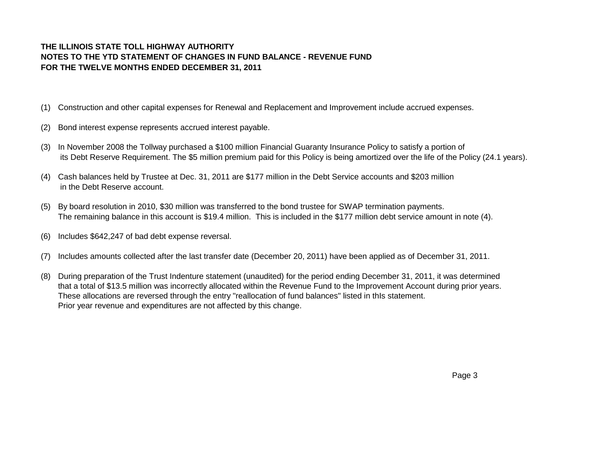## **THE ILLINOIS STATE TOLL HIGHWAY AUTHORITY NOTES TO THE YTD STATEMENT OF CHANGES IN FUND BALANCE - REVENUE FUND FOR THE TWELVE MONTHS ENDED DECEMBER 31, 2011**

- (1) Construction and other capital expenses for Renewal and Replacement and Improvement include accrued expenses.
- (2) Bond interest expense represents accrued interest payable.
- (3) In November 2008 the Tollway purchased a \$100 million Financial Guaranty Insurance Policy to satisfy a portion of its Debt Reserve Requirement. The \$5 million premium paid for this Policy is being amortized over the life of the Policy (24.1 years).
- (4) Cash balances held by Trustee at Dec. 31, 2011 are \$177 million in the Debt Service accounts and \$203 million in the Debt Reserve account.
- (5) By board resolution in 2010, \$30 million was transferred to the bond trustee for SWAP termination payments. The remaining balance in this account is \$19.4 million. This is included in the \$177 million debt service amount in note (4).
- (6) Includes \$642,247 of bad debt expense reversal.
- (7) Includes amounts collected after the last transfer date (December 20, 2011) have been applied as of December 31, 2011.
- (8) During preparation of the Trust Indenture statement (unaudited) for the period ending December 31, 2011, it was determined that a total of \$13.5 million was incorrectly allocated within the Revenue Fund to the Improvement Account during prior years. These allocations are reversed through the entry "reallocation of fund balances" listed in thIs statement. Prior year revenue and expenditures are not affected by this change.

Page 3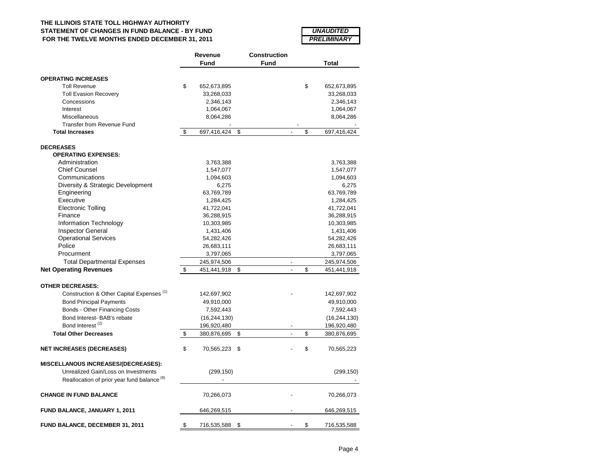## **THE ILLINOIS STATE TOLL HIGHWAY AUTHORITY STATEMENT OF CHANGES IN FUND BALANCE - BY FUND FOR THE TWELVE MONTHS ENDED DECEMBER 31, 2011**

| <i><b>UNAUDITED</b></i>   |
|---------------------------|
| <i><b>PRELIMINARY</b></i> |

|                                                        | Revenue           | Construction |                          |                   |
|--------------------------------------------------------|-------------------|--------------|--------------------------|-------------------|
|                                                        | Fund              | Fund         |                          | Total             |
| <b>OPERATING INCREASES</b>                             |                   |              |                          |                   |
| <b>Toll Revenue</b>                                    | \$<br>652,673,895 |              |                          | \$<br>652,673,895 |
| <b>Toll Evasion Recovery</b>                           | 33,268,033        |              |                          | 33,268,033        |
| Concessions                                            | 2,346,143         |              |                          | 2,346,143         |
| Interest                                               | 1,064,067         |              |                          | 1,064,067         |
| Miscellaneous                                          | 8,064,286         |              |                          | 8,064,286         |
| <b>Transfer from Revenue Fund</b>                      |                   |              |                          |                   |
| <b>Total Increases</b>                                 | \$<br>697,416,424 | \$           |                          | \$<br>697,416,424 |
|                                                        |                   |              |                          |                   |
| <b>DECREASES</b>                                       |                   |              |                          |                   |
| <b>OPERATING EXPENSES:</b>                             |                   |              |                          |                   |
| Administration                                         | 3,763,388         |              |                          | 3,763,388         |
| <b>Chief Counsel</b>                                   | 1,547,077         |              |                          | 1,547,077         |
| Communications                                         | 1,094,603         |              |                          | 1,094,603         |
| Diversity & Strategic Development                      | 6,275             |              |                          | 6,275             |
| Engineering                                            | 63,769,789        |              |                          | 63,769,789        |
| Executive                                              | 1,284,425         |              |                          | 1,284,425         |
| <b>Electronic Tolling</b>                              | 41,722,041        |              |                          | 41,722,041        |
| Finance                                                | 36,288,915        |              |                          | 36,288,915        |
| Information Technology                                 | 10,303,985        |              |                          | 10,303,985        |
| <b>Inspector General</b>                               | 1,431,406         |              |                          | 1,431,406         |
| <b>Operational Services</b>                            | 54,282,426        |              |                          | 54,282,426        |
| Police                                                 | 26,683,111        |              |                          | 26,683,111        |
| Procurment                                             | 3,797,065         |              |                          | 3,797,065         |
| <b>Total Departmental Expenses</b>                     | 245,974,506       |              | $\overline{\phantom{a}}$ | 245,974,506       |
| <b>Net Operating Revenues</b>                          | \$<br>451,441,918 | \$           |                          | \$<br>451,441,918 |
|                                                        |                   |              |                          |                   |
| <b>OTHER DECREASES:</b>                                |                   |              |                          |                   |
| Construction & Other Capital Expenses <sup>(1)</sup>   | 142,697,902       |              |                          | 142,697,902       |
| <b>Bond Principal Payments</b>                         | 49,910,000        |              |                          | 49,910,000        |
| Bonds - Other Financing Costs                          | 7,592,443         |              |                          | 7,592,443         |
| Bond Interest- BAB's rebate                            | (16, 244, 130)    |              |                          | (16, 244, 130)    |
| Bond Interest <sup>(2)</sup>                           | 196,920,480       |              |                          | 196,920,480       |
| <b>Total Other Decreases</b>                           | \$<br>380,876,695 | \$           | $\overline{a}$           | \$<br>380,876,695 |
| <b>NET INCREASES (DECREASES)</b>                       | \$<br>70,565,223  | \$           |                          | \$<br>70,565,223  |
| <b>MISCELLANOUS INCREASES/(DECREASES):</b>             |                   |              |                          |                   |
| Unrealized Gain/Loss on Investments                    | (299, 150)        |              |                          | (299, 150)        |
| Reallocation of prior year fund balance <sup>(8)</sup> |                   |              |                          |                   |
| <b>CHANGE IN FUND BALANCE</b>                          | 70,266,073        |              |                          | 70,266,073        |
| <b>FUND BALANCE, JANUARY 1, 2011</b>                   | 646,269,515       |              |                          | 646,269,515       |
|                                                        |                   |              |                          |                   |
| FUND BALANCE, DECEMBER 31, 2011                        | \$<br>716,535,588 | \$           |                          | \$<br>716,535,588 |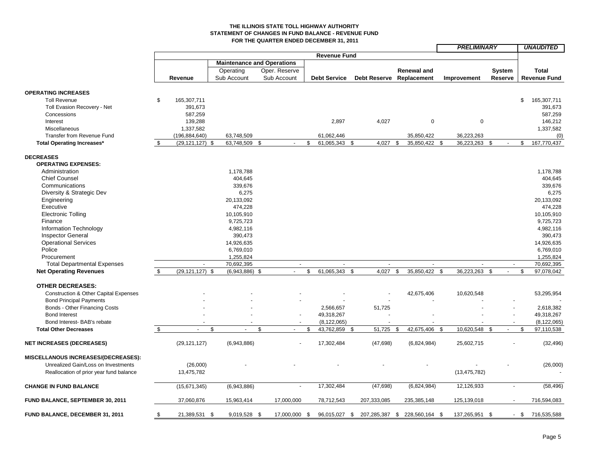### **THE ILLINOIS STATE TOLL HIGHWAY AUTHORITY STATEMENT OF CHANGES IN FUND BALANCE - REVENUE FUND FOR THE QUARTER ENDED DECEMBER 31, 2011**

|                                         |    |                     |                  |                                   |                     |                                             |                          | <b>PRELIMINARY</b>     |                |               | <b>UNAUDITED</b>    |
|-----------------------------------------|----|---------------------|------------------|-----------------------------------|---------------------|---------------------------------------------|--------------------------|------------------------|----------------|---------------|---------------------|
|                                         |    |                     |                  |                                   | <b>Revenue Fund</b> |                                             |                          |                        |                |               |                     |
|                                         |    |                     |                  | <b>Maintenance and Operations</b> |                     |                                             |                          |                        |                |               |                     |
|                                         |    |                     | Operating        | Oper. Reserve                     |                     |                                             | <b>Renewal and</b>       |                        | System         |               | <b>Total</b>        |
|                                         |    | Revenue             | Sub Account      | Sub Account                       | <b>Debt Service</b> |                                             | Debt Reserve Replacement | Improvement            | Reserve        |               | <b>Revenue Fund</b> |
|                                         |    |                     |                  |                                   |                     |                                             |                          |                        |                |               |                     |
| <b>OPERATING INCREASES</b>              |    |                     |                  |                                   |                     |                                             |                          |                        |                |               |                     |
| <b>Toll Revenue</b>                     | \$ | 165,307,711         |                  |                                   |                     |                                             |                          |                        |                | \$            | 165,307,711         |
| Toll Evasion Recovery - Net             |    | 391.673             |                  |                                   |                     |                                             |                          |                        |                |               | 391.673             |
| Concessions                             |    | 587,259             |                  |                                   |                     |                                             |                          |                        |                |               | 587,259             |
| Interest                                |    | 139,288             |                  |                                   | 2,897               | 4,027                                       | $\mathbf 0$              | $\mathbf 0$            |                |               | 146,212             |
| Miscellaneous                           |    | 1,337,582           |                  |                                   |                     |                                             |                          |                        |                |               | 1,337,582           |
| Transfer from Revenue Fund              |    | (196, 884, 640)     | 63,748,509       |                                   | 61,062,446          |                                             | 35,850,422               | 36,223,263             |                |               | (0)                 |
| <b>Total Operating Increases*</b>       | -S | $(29, 121, 127)$ \$ | 63,748,509       | \$<br>$\sim$                      | \$<br>61,065,343    | 4,027<br>\$                                 | 35,850,422<br>\$         | <b>S</b><br>36,223,263 | \$<br>$\sim$   | \$            | 167,770,437         |
|                                         |    |                     |                  |                                   |                     |                                             |                          |                        |                |               |                     |
| <b>DECREASES</b>                        |    |                     |                  |                                   |                     |                                             |                          |                        |                |               |                     |
| <b>OPERATING EXPENSES:</b>              |    |                     |                  |                                   |                     |                                             |                          |                        |                |               |                     |
| Administration                          |    |                     | 1,178,788        |                                   |                     |                                             |                          |                        |                |               | 1,178,788           |
| <b>Chief Counsel</b>                    |    |                     | 404,645          |                                   |                     |                                             |                          |                        |                |               | 404,645             |
| Communications                          |    |                     | 339,676          |                                   |                     |                                             |                          |                        |                |               | 339,676             |
| Diversity & Strategic Dev               |    |                     | 6,275            |                                   |                     |                                             |                          |                        |                |               | 6,275               |
| Engineering                             |    |                     | 20,133,092       |                                   |                     |                                             |                          |                        |                |               | 20,133,092          |
| Executive                               |    |                     | 474,228          |                                   |                     |                                             |                          |                        |                |               | 474,228             |
| <b>Electronic Tolling</b>               |    |                     | 10,105,910       |                                   |                     |                                             |                          |                        |                |               | 10,105,910          |
| Finance                                 |    |                     | 9,725,723        |                                   |                     |                                             |                          |                        |                |               | 9,725,723           |
| Information Technology                  |    |                     | 4,982,116        |                                   |                     |                                             |                          |                        |                |               | 4,982,116           |
| <b>Inspector General</b>                |    |                     | 390,473          |                                   |                     |                                             |                          |                        |                |               | 390,473             |
| <b>Operational Services</b>             |    |                     | 14,926,635       |                                   |                     |                                             |                          |                        |                |               | 14,926,635          |
| Police                                  |    |                     | 6,769,010        |                                   |                     |                                             |                          |                        |                |               | 6,769,010           |
| Procurement                             |    |                     | 1,255,824        |                                   |                     |                                             |                          |                        |                |               | 1,255,824           |
| <b>Total Departmental Expenses</b>      |    |                     | 70,692,395       | $\sim$                            |                     |                                             |                          |                        |                |               | 70,692,395          |
| <b>Net Operating Revenues</b>           | \$ | $(29, 121, 127)$ \$ | $(6,943,886)$ \$ | $\blacksquare$                    | \$<br>61,065,343 \$ | 4,027                                       | 35,850,422 \$<br>-\$     | 36,223,263 \$          |                | $\mathfrak s$ | 97,078,042          |
| <b>OTHER DECREASES:</b>                 |    |                     |                  |                                   |                     |                                             |                          |                        |                |               |                     |
| Construction & Other Capital Expenses   |    |                     |                  |                                   |                     |                                             | 42,675,406               | 10,620,548             |                |               | 53,295,954          |
| <b>Bond Principal Payments</b>          |    |                     |                  |                                   |                     |                                             |                          |                        |                |               |                     |
| Bonds - Other Financing Costs           |    |                     |                  |                                   | 2,566,657           | 51,725                                      |                          |                        |                |               | 2,618,382           |
| <b>Bond Interest</b>                    |    |                     |                  |                                   | 49,318,267          |                                             |                          |                        |                |               | 49,318,267          |
| Bond Interest- BAB's rebate             |    |                     |                  |                                   | (8, 122, 065)       |                                             |                          |                        |                |               | (8, 122, 065)       |
| <b>Total Other Decreases</b>            | \$ | $\sim$              | \$<br>÷.         | \$<br>$\overline{a}$              | \$<br>43,762,859    | 51,725<br>\$                                | 42,675,406<br>-\$        | 10,620,548<br>- \$     | \$<br>$\sim$   | \$            | 97,110,538          |
|                                         |    |                     |                  |                                   |                     |                                             |                          |                        |                |               |                     |
| <b>NET INCREASES (DECREASES)</b>        |    | (29, 121, 127)      | (6,943,886)      |                                   | 17,302,484          | (47, 698)                                   | (6,824,984)              | 25,602,715             |                |               | (32, 496)           |
| MISCELLANOUS INCREASES/(DECREASES):     |    |                     |                  |                                   |                     |                                             |                          |                        |                |               |                     |
| Unrealized Gain/Loss on Investments     |    | (26,000)            |                  |                                   |                     |                                             |                          |                        |                |               | (26,000)            |
| Reallocation of prior year fund balance |    | 13,475,782          |                  |                                   |                     |                                             |                          | (13, 475, 782)         |                |               |                     |
|                                         |    |                     |                  |                                   |                     |                                             |                          |                        |                |               |                     |
| <b>CHANGE IN FUND BALANCE</b>           |    | (15,671,345)        | (6,943,886)      |                                   | 17,302,484          | (47, 698)                                   | (6,824,984)              | 12,126,933             | $\blacksquare$ |               | (58, 496)           |
| FUND BALANCE, SEPTEMBER 30, 2011        |    | 37,060,876          | 15,963,414       | 17,000,000                        | 78,712,543          | 207,333,085                                 | 235,385,148              | 125,139,018            |                |               | 716,594,083         |
| FUND BALANCE, DECEMBER 31, 2011         | \$ | 21,389,531 \$       | 9,019,528 \$     | 17,000,000 \$                     |                     | 96,015,027 \$ 207,285,387 \$ 228,560,164 \$ |                          | 137,265,951 \$         |                | $-$ \$        | 716,535,588         |
|                                         |    |                     |                  |                                   |                     |                                             |                          |                        |                |               |                     |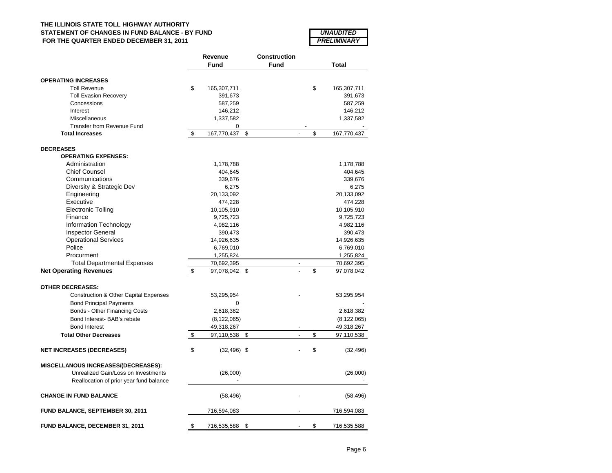## **THE ILLINOIS STATE TOLL HIGHWAY AUTHORITY STATEMENT OF CHANGES IN FUND BALANCE - BY FUND FOR THE QUARTER ENDED DECEMBER 31, 2011**

| <i><b>UNAUDITED</b></i> |
|-------------------------|
| PRELIMINARY             |

|                                                  | Revenue              | <b>Construction</b> |                          |               |
|--------------------------------------------------|----------------------|---------------------|--------------------------|---------------|
|                                                  | <b>Fund</b>          | <b>Fund</b>         |                          | Total         |
| <b>OPERATING INCREASES</b>                       |                      |                     |                          |               |
| <b>Toll Revenue</b>                              | \$<br>165,307,711    |                     | \$                       | 165,307,711   |
| <b>Toll Evasion Recovery</b>                     | 391,673              |                     |                          | 391,673       |
| Concessions                                      | 587,259              |                     |                          | 587,259       |
| Interest                                         | 146,212              |                     |                          | 146,212       |
| Miscellaneous                                    | 1,337,582            |                     |                          | 1,337,582     |
| Transfer from Revenue Fund                       | 0                    |                     |                          |               |
| <b>Total Increases</b>                           | \$<br>167,770,437    | \$                  | \$                       | 167,770,437   |
| <b>DECREASES</b>                                 |                      |                     |                          |               |
| <b>OPERATING EXPENSES:</b>                       |                      |                     |                          |               |
| Administration                                   | 1,178,788            |                     |                          | 1,178,788     |
| <b>Chief Counsel</b>                             | 404,645              |                     |                          | 404,645       |
| Communications                                   | 339,676              |                     |                          | 339,676       |
| Diversity & Strategic Dev                        | 6,275                |                     |                          | 6,275         |
| Engineering                                      | 20,133,092           |                     |                          | 20,133,092    |
| Executive                                        | 474,228              |                     |                          | 474,228       |
| <b>Electronic Tolling</b>                        | 10,105,910           |                     |                          | 10,105,910    |
| Finance                                          | 9,725,723            |                     |                          | 9,725,723     |
| Information Technology                           | 4,982,116            |                     |                          | 4,982,116     |
| <b>Inspector General</b>                         | 390,473              |                     |                          | 390,473       |
| <b>Operational Services</b>                      | 14,926,635           |                     |                          | 14,926,635    |
| Police                                           | 6,769,010            |                     |                          | 6,769,010     |
| Procurment                                       | 1,255,824            |                     |                          | 1,255,824     |
| <b>Total Departmental Expenses</b>               | 70,692,395           |                     | $\overline{\phantom{a}}$ | 70,692,395    |
| <b>Net Operating Revenues</b>                    | \$<br>97,078,042     | \$                  | \$                       | 97,078,042    |
| <b>OTHER DECREASES:</b>                          |                      |                     |                          |               |
| <b>Construction &amp; Other Capital Expenses</b> | 53,295,954           |                     |                          | 53,295,954    |
| <b>Bond Principal Payments</b>                   | 0                    |                     |                          |               |
| Bonds - Other Financing Costs                    | 2,618,382            |                     |                          | 2,618,382     |
| Bond Interest- BAB's rebate                      | (8, 122, 065)        |                     |                          | (8, 122, 065) |
| <b>Bond Interest</b>                             | 49,318,267           |                     |                          | 49,318,267    |
| <b>Total Other Decreases</b>                     | \$<br>97,110,538     | \$                  | \$                       | 97,110,538    |
| <b>NET INCREASES (DECREASES)</b>                 | \$<br>$(32, 496)$ \$ |                     | \$                       | (32, 496)     |
| <b>MISCELLANOUS INCREASES/(DECREASES):</b>       |                      |                     |                          |               |
| Unrealized Gain/Loss on Investments              | (26,000)             |                     |                          | (26,000)      |
| Reallocation of prior year fund balance          |                      |                     |                          |               |
| <b>CHANGE IN FUND BALANCE</b>                    | (58, 496)            |                     |                          | (58, 496)     |
| <b>FUND BALANCE, SEPTEMBER 30, 2011</b>          | 716,594,083          |                     |                          | 716,594,083   |
| FUND BALANCE, DECEMBER 31, 2011                  | \$<br>716,535,588    | \$                  | \$                       | 716,535,588   |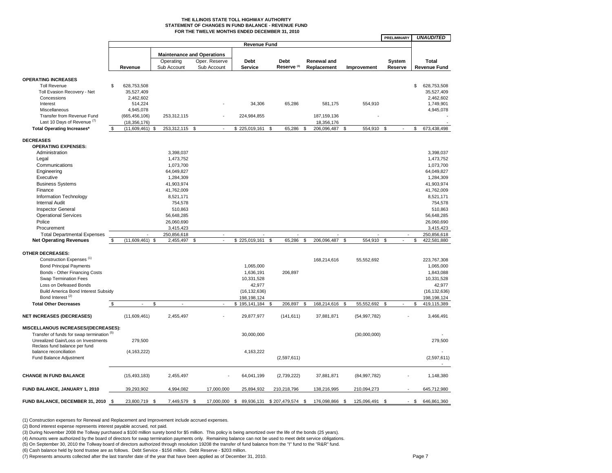#### **THE ILLINOIS STATE TOLL HIGHWAY AUTHORITY STATEMENT OF CHANGES IN FUND BALANCE - REVENUE FUND FOR THE TWELVE MONTHS ENDED DECEMBER 31, 2010**

|                                                         |          |                           |                                   |                |               |                     |     |                        |      |                    |          |                | PRELIMINARY  |          | <b>UNAUDITED</b>          |
|---------------------------------------------------------|----------|---------------------------|-----------------------------------|----------------|---------------|---------------------|-----|------------------------|------|--------------------|----------|----------------|--------------|----------|---------------------------|
|                                                         |          |                           |                                   |                |               | <b>Revenue Fund</b> |     |                        |      |                    |          |                |              |          |                           |
|                                                         |          |                           | <b>Maintenance and Operations</b> |                |               |                     |     |                        |      |                    |          |                |              |          |                           |
|                                                         |          |                           | Operating                         |                | Oper. Reserve | <b>Debt</b>         |     | <b>Debt</b>            |      | <b>Renewal and</b> |          |                | System       |          | <b>Total</b>              |
|                                                         |          | Revenue                   | Sub Account                       |                | Sub Account   | <b>Service</b>      |     | Reserve <sup>(3)</sup> |      | Replacement        |          | Improvement    | Reserve      |          | <b>Revenue Fund</b>       |
|                                                         |          |                           |                                   |                |               |                     |     |                        |      |                    |          |                |              |          |                           |
| <b>OPERATING INCREASES</b><br><b>Toll Revenue</b>       | \$       |                           |                                   |                |               |                     |     |                        |      |                    |          |                |              | \$       |                           |
| Toll Evasion Recovery - Net                             |          | 628,753,508<br>35,527,409 |                                   |                |               |                     |     |                        |      |                    |          |                |              |          | 628,753,508<br>35,527,409 |
| Concessions                                             |          | 2,462,602                 |                                   |                |               |                     |     |                        |      |                    |          |                |              |          | 2,462,602                 |
| Interest                                                |          | 514,224                   |                                   |                |               | 34,306              |     | 65,286                 |      | 581,175            |          | 554,910        |              |          | 1,749,901                 |
| Miscellaneous                                           |          | 4,945,078                 |                                   |                |               |                     |     |                        |      |                    |          |                |              |          | 4,945,078                 |
| Transfer from Revenue Fund                              |          | (665, 456, 106)           | 253,312,115                       |                |               | 224,984,855         |     |                        |      | 187, 159, 136      |          |                |              |          |                           |
| Last 10 Days of Revenue <sup>(7)</sup>                  |          | (18, 356, 176)            |                                   |                |               |                     |     |                        |      | 18,356,176         |          |                |              |          |                           |
| <b>Total Operating Increases*</b>                       | -S       | (11,609,461)<br>\$.       | 253,312,115                       | \$             | $\sim$        | \$225,019,161       | \$. | 65.286                 | \$.  | 206,096,487        | £.       | 554.910        | ፍ            | \$       | 673.438.498               |
|                                                         |          |                           |                                   |                |               |                     |     |                        |      |                    |          |                |              |          |                           |
| <b>DECREASES</b>                                        |          |                           |                                   |                |               |                     |     |                        |      |                    |          |                |              |          |                           |
| <b>OPERATING EXPENSES:</b>                              |          |                           |                                   |                |               |                     |     |                        |      |                    |          |                |              |          |                           |
| Administration                                          |          |                           | 3,398,037                         |                |               |                     |     |                        |      |                    |          |                |              |          | 3,398,037                 |
| Legal                                                   |          |                           | 1,473,752                         |                |               |                     |     |                        |      |                    |          |                |              |          | 1,473,752                 |
| Communications                                          |          |                           | 1,073,700                         |                |               |                     |     |                        |      |                    |          |                |              |          | 1,073,700                 |
| Engineering                                             |          |                           | 64,049,827                        |                |               |                     |     |                        |      |                    |          |                |              |          | 64,049,827                |
| Executive                                               |          |                           | 1,284,309                         |                |               |                     |     |                        |      |                    |          |                |              |          | 1,284,309                 |
| <b>Business Systems</b>                                 |          |                           | 41,903,974                        |                |               |                     |     |                        |      |                    |          |                |              |          | 41,903,974                |
| Finance                                                 |          |                           | 41,762,009                        |                |               |                     |     |                        |      |                    |          |                |              |          | 41,762,009                |
| Information Technology<br><b>Internal Audit</b>         |          |                           | 8,521,171<br>754,578              |                |               |                     |     |                        |      |                    |          |                |              |          | 8,521,171<br>754,578      |
|                                                         |          |                           |                                   |                |               |                     |     |                        |      |                    |          |                |              |          |                           |
| <b>Inspector General</b><br><b>Operational Services</b> |          |                           | 510,863                           |                |               |                     |     |                        |      |                    |          |                |              |          | 510,863<br>56,648,285     |
| Police                                                  |          |                           | 56,648,285<br>26,060,690          |                |               |                     |     |                        |      |                    |          |                |              |          | 26,060,690                |
| Procurement                                             |          |                           | 3,415,423                         |                |               |                     |     |                        |      |                    |          |                |              |          | 3,415,423                 |
| <b>Total Departmental Expenses</b>                      |          |                           | 250,856,618                       |                |               |                     |     |                        |      |                    |          |                |              |          | 250,856,618               |
| <b>Net Operating Revenues</b>                           | \$       | $(11,609,461)$ \$         | 2,455,497                         | $\mathfrak{s}$ | $\omega$      | \$225,019,161       | \$  | 65,286                 | \$   | 206,096,487        | \$       | 554,910        | $\mathbf{s}$ | \$       | 422,581,880               |
|                                                         |          |                           |                                   |                |               |                     |     |                        |      |                    |          |                |              |          |                           |
| <b>OTHER DECREASES:</b>                                 |          |                           |                                   |                |               |                     |     |                        |      |                    |          |                |              |          |                           |
| Construction Expenses <sup>(1)</sup>                    |          |                           |                                   |                |               |                     |     |                        |      | 168,214,616        |          | 55,552,692     |              |          | 223,767,308               |
| <b>Bond Principal Payments</b>                          |          |                           |                                   |                |               | 1,065,000           |     |                        |      |                    |          |                |              |          | 1,065,000                 |
| Bonds - Other Financing Costs                           |          |                           |                                   |                |               | 1,636,191           |     | 206,897                |      |                    |          |                |              |          | 1,843,088                 |
| <b>Swap Termination Fees</b>                            |          |                           |                                   |                |               | 10,331,528          |     |                        |      |                    |          |                |              |          | 10,331,528                |
| Loss on Defeased Bonds                                  |          |                           |                                   |                |               | 42,977              |     |                        |      |                    |          |                |              |          | 42,977                    |
| <b>Build America Bond Interest Subsidy</b>              |          |                           |                                   |                |               | (16, 132, 636)      |     |                        |      |                    |          |                |              |          | (16, 132, 636)            |
| Bond Interest <sup>(2)</sup>                            |          |                           |                                   |                |               | 198,198,124         |     |                        |      |                    |          |                |              | \$       | 198,198,124               |
| <b>Total Other Decreases</b>                            | \$       | S                         |                                   |                |               | \$195,141,184       | -S  | 206,897                | - \$ | 168,214,616        | <b>S</b> | 55,552,692     | \$           |          | 419,115,389               |
| <b>NET INCREASES (DECREASES)</b>                        |          | (11,609,461)              | 2,455,497                         |                |               | 29,877,977          |     | (141, 611)             |      | 37,881,871         |          | (54, 997, 782) |              |          | 3,466,491                 |
| MISCELLANOUS INCREASES/(DECREASES):                     |          |                           |                                   |                |               |                     |     |                        |      |                    |          |                |              |          |                           |
| Transfer of funds for swap termination (5)              |          |                           |                                   |                |               | 30,000,000          |     |                        |      |                    |          | (30,000,000)   |              |          |                           |
| Unrealized Gain/Loss on Investments                     |          | 279,500                   |                                   |                |               |                     |     |                        |      |                    |          |                |              |          | 279,500                   |
| Reclass fund balance per fund                           |          |                           |                                   |                |               |                     |     |                        |      |                    |          |                |              |          |                           |
| balance reconciliation                                  |          | (4, 163, 222)             |                                   |                |               | 4,163,222           |     |                        |      |                    |          |                |              |          |                           |
| Fund Balance Adjustment                                 |          |                           |                                   |                |               |                     |     | (2,597,611)            |      |                    |          |                |              |          | (2,597,611)               |
| <b>CHANGE IN FUND BALANCE</b>                           |          | (15, 493, 183)            | 2,455,497                         |                |               | 64,041,199          |     | (2,739,222)            |      | 37,881,871         |          | (84, 997, 782) |              |          | 1,148,380                 |
|                                                         |          |                           |                                   |                |               |                     |     |                        |      |                    |          |                |              |          |                           |
| FUND BALANCE, JANUARY 1, 2010                           |          | 39,293,902                | 4,994,082                         |                | 17,000,000    | 25,894,932          |     | 210,218,796            |      | 138,216,995        |          | 210,094,273    |              |          | 645,712,980               |
| FUND BALANCE, DECEMBER 31, 2010                         | <b>S</b> | 23,800,719<br>- \$        | 7,449,579                         |                | 17,000,000 \$ | 89,936,131          |     | \$207,479,574 \$       |      | 176,098,866        | - \$     | 125,096,491 \$ |              | <b>S</b> | 646,861,360               |

(1) Construction expenses for Renewal and Replacement and Improvement include accrued expenses.

(2) Bond interest expense represents interest payable accrued, not paid.

(3) During November 2008 the Tollway purchased a \$100 million surety bond for \$5 million. This policy is being amortized over the life of the bonds (25 years).

(4) Amounts were authorized by the board of directors for swap termination payments only. Remaining balance can not be used to meet debt service obligations.<br>(5) On September 30, 2010 the Tollway board of directors author

(6) Cash balance held by bond trustee are as follows. Debt Service - \$156 million. Debt Reserve - \$203 million.

(7) Represents amounts collected after the last transfer date of the year that have been applied as of December 31, 2010.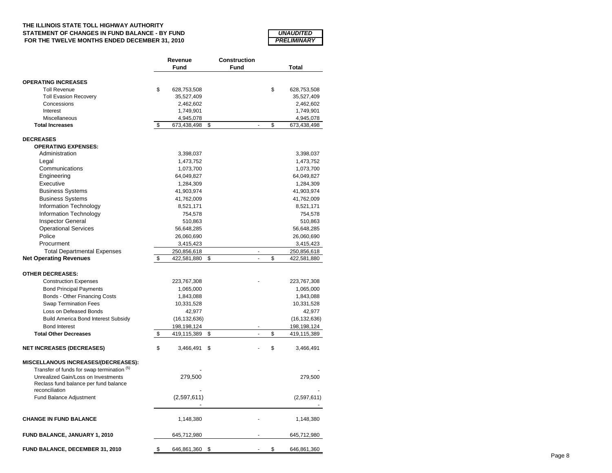### **THE ILLINOIS STATE TOLL HIGHWAY AUTHORITY STATEMENT OF CHANGES IN FUND BALANCE - BY FUND FOR THE TWELVE MONTHS ENDED DECEMBER 31, 2010**

| <i><b>UNAUDITED</b></i> |  |
|-------------------------|--|
|                         |  |
| PRELIMINARY             |  |

|                                                                              | Revenue                        |      | <b>Construction</b> |    |                          |  |  |
|------------------------------------------------------------------------------|--------------------------------|------|---------------------|----|--------------------------|--|--|
|                                                                              | Fund                           | Fund |                     |    | <b>Total</b>             |  |  |
|                                                                              |                                |      |                     |    |                          |  |  |
| <b>OPERATING INCREASES</b>                                                   |                                |      |                     |    |                          |  |  |
| <b>Toll Revenue</b>                                                          | \$<br>628,753,508              |      |                     | \$ | 628,753,508              |  |  |
| <b>Toll Evasion Recovery</b>                                                 | 35,527,409                     |      |                     |    | 35,527,409               |  |  |
| Concessions                                                                  | 2,462,602                      |      |                     |    | 2,462,602                |  |  |
| Interest                                                                     | 1,749,901                      |      |                     |    | 1,749,901                |  |  |
| Miscellaneous<br><b>Total Increases</b>                                      | \$<br>4,945,078<br>673,438,498 | \$   | $\overline{a}$      | \$ | 4,945,078<br>673,438,498 |  |  |
|                                                                              |                                |      |                     |    |                          |  |  |
| <b>DECREASES</b>                                                             |                                |      |                     |    |                          |  |  |
| <b>OPERATING EXPENSES:</b>                                                   |                                |      |                     |    |                          |  |  |
| Administration                                                               | 3,398,037                      |      |                     |    | 3,398,037                |  |  |
| Legal                                                                        | 1,473,752                      |      |                     |    | 1,473,752                |  |  |
| Communications                                                               | 1,073,700                      |      |                     |    | 1,073,700                |  |  |
| Engineering                                                                  | 64,049,827                     |      |                     |    | 64,049,827               |  |  |
| Executive                                                                    | 1,284,309                      |      |                     |    | 1,284,309                |  |  |
| <b>Business Systems</b>                                                      | 41,903,974                     |      |                     |    | 41,903,974               |  |  |
| <b>Business Systems</b>                                                      | 41,762,009                     |      |                     |    | 41,762,009               |  |  |
| Information Technology                                                       | 8,521,171                      |      |                     |    | 8,521,171                |  |  |
| Information Technology                                                       | 754,578                        |      |                     |    | 754,578                  |  |  |
|                                                                              |                                |      |                     |    |                          |  |  |
| <b>Inspector General</b>                                                     | 510,863                        |      |                     |    | 510,863                  |  |  |
| <b>Operational Services</b>                                                  | 56,648,285                     |      |                     |    | 56,648,285               |  |  |
| Police                                                                       | 26,060,690                     |      |                     |    | 26,060,690               |  |  |
| Procurment                                                                   | 3,415,423                      |      |                     |    | 3,415,423                |  |  |
| <b>Total Departmental Expenses</b>                                           | 250,856,618                    |      | ä,                  |    | 250,856,618              |  |  |
| <b>Net Operating Revenues</b>                                                | \$<br>422,581,880              | \$   |                     | \$ | 422,581,880              |  |  |
| <b>OTHER DECREASES:</b>                                                      |                                |      |                     |    |                          |  |  |
|                                                                              |                                |      |                     |    |                          |  |  |
| <b>Construction Expenses</b>                                                 | 223,767,308                    |      |                     |    | 223,767,308              |  |  |
| <b>Bond Principal Payments</b>                                               | 1,065,000                      |      |                     |    | 1,065,000                |  |  |
| Bonds - Other Financing Costs                                                | 1,843,088                      |      |                     |    | 1,843,088                |  |  |
| <b>Swap Termination Fees</b>                                                 | 10,331,528                     |      |                     |    | 10,331,528               |  |  |
| Loss on Defeased Bonds                                                       | 42,977                         |      |                     |    | 42,977                   |  |  |
| Build America Bond Interest Subsidy                                          | (16, 132, 636)                 |      |                     |    | (16, 132, 636)           |  |  |
| <b>Bond Interest</b>                                                         | 198,198,124                    |      |                     |    | 198,198,124              |  |  |
| <b>Total Other Decreases</b>                                                 | \$<br>419,115,389              | \$   |                     | \$ | 419,115,389              |  |  |
| <b>NET INCREASES (DECREASES)</b>                                             | \$<br>3,466,491                | \$   |                     | \$ | 3,466,491                |  |  |
| MISCELLANOUS INCREASES/(DECREASES):                                          |                                |      |                     |    |                          |  |  |
| Transfer of funds for swap termination (5)                                   |                                |      |                     |    |                          |  |  |
|                                                                              |                                |      |                     |    |                          |  |  |
| Unrealized Gain/Loss on Investments<br>Reclass fund balance per fund balance | 279,500                        |      |                     |    | 279,500                  |  |  |
| reconciliation                                                               |                                |      |                     |    |                          |  |  |
| Fund Balance Adjustment                                                      | (2,597,611)                    |      |                     |    | (2,597,611)              |  |  |
|                                                                              |                                |      |                     |    |                          |  |  |
| <b>CHANGE IN FUND BALANCE</b>                                                | 1,148,380                      |      |                     |    | 1,148,380                |  |  |
|                                                                              |                                |      |                     |    |                          |  |  |
| <b>FUND BALANCE, JANUARY 1, 2010</b>                                         | 645,712,980                    |      |                     |    | 645,712,980              |  |  |
| FUND BALANCE, DECEMBER 31, 2010                                              | \$<br>646,861,360              | \$   |                     | \$ | 646,861,360              |  |  |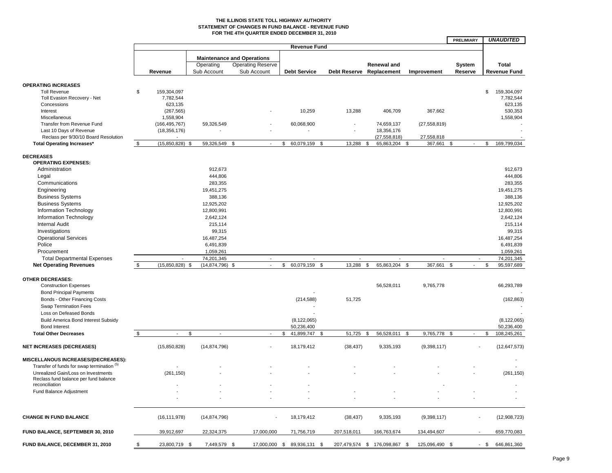#### **THE ILLINOIS STATE TOLL HIGHWAY AUTHORITY STATEMENT OF CHANGES IN FUND BALANCE - REVENUE FUND FOR THE 4TH QUARTER ENDED DECEMBER 31, 2010**

|                                            |                          |                      |                                   |                             |                          |                               |                          | PRELIMIARY               |        | <i><b>UNAUDITED</b></i> |
|--------------------------------------------|--------------------------|----------------------|-----------------------------------|-----------------------------|--------------------------|-------------------------------|--------------------------|--------------------------|--------|-------------------------|
|                                            |                          |                      |                                   | <b>Revenue Fund</b>         |                          |                               |                          |                          |        |                         |
|                                            |                          |                      |                                   |                             |                          |                               |                          |                          |        |                         |
|                                            |                          |                      | <b>Maintenance and Operations</b> |                             |                          |                               |                          |                          |        |                         |
|                                            |                          | Operating            | <b>Operating Reserve</b>          |                             |                          | <b>Renewal and</b>            |                          | System                   |        | <b>Total</b>            |
|                                            | Revenue                  | Sub Account          | Sub Account                       | <b>Debt Service</b>         |                          | Debt Reserve Replacement      | Improvement              | Reserve                  |        | <b>Revenue Fund</b>     |
|                                            |                          |                      |                                   |                             |                          |                               |                          |                          |        |                         |
| <b>OPERATING INCREASES</b>                 |                          |                      |                                   |                             |                          |                               |                          |                          |        |                         |
| <b>Toll Revenue</b>                        | \$<br>159,304,097        |                      |                                   |                             |                          |                               |                          |                          | \$     | 159,304,097             |
| Toll Evasion Recovery - Net                | 7,782,544                |                      |                                   |                             |                          |                               |                          |                          |        | 7,782,544               |
| Concessions                                | 623,135                  |                      |                                   |                             |                          |                               |                          |                          |        | 623,135                 |
| Interest                                   | (267, 565)               |                      |                                   | 10,259                      | 13,288                   | 406,709                       | 367,662                  |                          |        | 530,353                 |
| Miscellaneous                              | 1,558,904                |                      |                                   |                             |                          |                               |                          |                          |        | 1,558,904               |
| Transfer from Revenue Fund                 | (166, 495, 767)          | 59,326,549           |                                   | 60,068,900                  | $\overline{\phantom{a}}$ | 74,659,137                    | (27, 558, 819)           |                          |        |                         |
| Last 10 Days of Revenue                    | (18, 356, 176)           |                      |                                   |                             |                          | 18,356,176                    |                          |                          |        |                         |
| Reclass per 9/30/10 Board Resolution       |                          |                      |                                   |                             |                          | (27, 558, 818)                | 27,558,818               |                          |        |                         |
|                                            | \$<br>(15,850,828)       | 59,326,549 \$        | $\sim$                            | 60,079,159<br>\$            | 13,288<br>\$             | 65,863,204<br>\$              | \$<br>367,661            | \$<br>$\sim$             | \$     | 169,799,034             |
| <b>Total Operating Increases*</b>          |                          | \$                   |                                   |                             |                          |                               |                          |                          |        |                         |
|                                            |                          |                      |                                   |                             |                          |                               |                          |                          |        |                         |
| <b>DECREASES</b>                           |                          |                      |                                   |                             |                          |                               |                          |                          |        |                         |
| <b>OPERATING EXPENSES:</b>                 |                          |                      |                                   |                             |                          |                               |                          |                          |        |                         |
| Administration                             |                          | 912,673              |                                   |                             |                          |                               |                          |                          |        | 912,673                 |
| Legal                                      |                          | 444,806              |                                   |                             |                          |                               |                          |                          |        | 444,806                 |
| Communications                             |                          | 283,355              |                                   |                             |                          |                               |                          |                          |        | 283,355                 |
| Engineering                                |                          | 19,451,275           |                                   |                             |                          |                               |                          |                          |        | 19,451,275              |
| <b>Business Systems</b>                    |                          | 388,136              |                                   |                             |                          |                               |                          |                          |        | 388,136                 |
| <b>Business Systems</b>                    |                          | 12,925,202           |                                   |                             |                          |                               |                          |                          |        | 12,925,202              |
| Information Technology                     |                          | 12,800,991           |                                   |                             |                          |                               |                          |                          |        | 12,800,991              |
| <b>Information Technology</b>              |                          | 2,642,124            |                                   |                             |                          |                               |                          |                          |        | 2,642,124               |
| <b>Internal Audit</b>                      |                          | 215,114              |                                   |                             |                          |                               |                          |                          |        | 215,114                 |
| Investigations                             |                          | 99,315               |                                   |                             |                          |                               |                          |                          |        | 99,315                  |
|                                            |                          |                      |                                   |                             |                          |                               |                          |                          |        |                         |
| <b>Operational Services</b>                |                          | 16,487,254           |                                   |                             |                          |                               |                          |                          |        | 16,487,254              |
| Police                                     |                          | 6,491,839            |                                   |                             |                          |                               |                          |                          |        | 6,491,839               |
| Procurement                                |                          | 1,059,261            |                                   |                             |                          |                               |                          |                          |        | 1,059,261               |
| <b>Total Departmental Expenses</b>         | $\blacksquare$           | 74,201,345           | $\overline{\phantom{a}}$          | $\overline{\phantom{a}}$    | $\overline{\phantom{a}}$ | $\overline{\phantom{a}}$      | $\overline{\phantom{a}}$ | $\overline{\phantom{a}}$ |        | 74,201,345              |
| <b>Net Operating Revenues</b>              | \$<br>$(15,850,828)$ \$  | $(14,874,796)$ \$    |                                   | \$<br>60,079,159            | \$<br>13,288             | 65,863,204<br>\$              | 367,661<br>\$            | \$                       | \$     | 95,597,689              |
|                                            |                          |                      |                                   |                             |                          |                               |                          |                          |        |                         |
| <b>OTHER DECREASES:</b>                    |                          |                      |                                   |                             |                          |                               |                          |                          |        |                         |
| <b>Construction Expenses</b>               |                          |                      |                                   |                             |                          | 56,528,011                    | 9,765,778                |                          |        | 66,293,789              |
| <b>Bond Principal Payments</b>             |                          |                      |                                   |                             |                          |                               |                          |                          |        |                         |
| Bonds - Other Financing Costs              |                          |                      |                                   | (214, 588)                  | 51,725                   |                               |                          |                          |        | (162, 863)              |
| <b>Swap Termination Fees</b>               |                          |                      |                                   |                             |                          |                               |                          |                          |        |                         |
| Loss on Defeased Bonds                     |                          |                      |                                   |                             |                          |                               |                          |                          |        |                         |
|                                            |                          |                      |                                   |                             |                          |                               |                          |                          |        |                         |
| <b>Build America Bond Interest Subsidy</b> |                          |                      |                                   | (8, 122, 065)               |                          |                               |                          |                          |        | (8, 122, 065)           |
| <b>Bond Interest</b>                       |                          |                      |                                   | 50,236,400                  |                          |                               |                          |                          |        | 50,236,400              |
| <b>Total Other Decreases</b>               | \$<br>$\sim$             | \$<br>$\blacksquare$ | $\sim$                            | \$<br>41,899,747            | 51,725<br>- \$           | 56,528,011<br>- \$            | \$<br>9,765,778          | -\$<br>$\sim$            | \$     | 108,245,261             |
|                                            |                          |                      |                                   |                             |                          |                               |                          |                          |        |                         |
| <b>NET INCREASES (DECREASES)</b>           | (15,850,828)             | (14, 874, 796)       |                                   | 18,179,412                  | (38, 437)                | 9,335,193                     | (9,398,117)              |                          |        | (12, 647, 573)          |
|                                            |                          |                      |                                   |                             |                          |                               |                          |                          |        |                         |
| MISCELLANOUS INCREASES/(DECREASES):        |                          |                      |                                   |                             |                          |                               |                          |                          |        |                         |
| Transfer of funds for swap termination (5) | $\overline{\phantom{a}}$ |                      |                                   |                             |                          |                               |                          |                          |        |                         |
| Unrealized Gain/Loss on Investments        | (261, 150)               |                      |                                   |                             |                          |                               |                          |                          |        | (261, 150)              |
| Reclass fund balance per fund balance      |                          |                      |                                   |                             |                          |                               |                          |                          |        |                         |
| reconciliation                             |                          |                      |                                   |                             |                          |                               |                          |                          |        |                         |
| Fund Balance Adjustment                    |                          |                      |                                   |                             |                          |                               |                          |                          |        |                         |
|                                            |                          |                      |                                   |                             |                          |                               |                          |                          |        |                         |
|                                            |                          |                      |                                   |                             |                          |                               |                          |                          |        |                         |
|                                            |                          |                      |                                   |                             |                          |                               |                          |                          |        |                         |
| <b>CHANGE IN FUND BALANCE</b>              | (16, 111, 978)           | (14, 874, 796)       |                                   | 18,179,412                  | (38, 437)                | 9,335,193                     | (9,398,117)              |                          |        | (12,908,723)            |
|                                            |                          |                      |                                   |                             |                          |                               |                          |                          |        |                         |
| FUND BALANCE, SEPTEMBER 30, 2010           | 39,912,697               | 22,324,375           | 17,000,000                        | 71,756,719                  | 207,518,011              | 166,763,674                   | 134,494,607              |                          |        | 659,770,083             |
|                                            |                          |                      |                                   |                             |                          |                               |                          |                          |        |                         |
| FUND BALANCE, DECEMBER 31, 2010            | \$<br>23,800,719 \$      | 7,449,579 \$         |                                   | 17,000,000 \$ 89,936,131 \$ |                          | 207,479,574 \$ 176,098,867 \$ | 125,096,490 \$           |                          | $-$ \$ | 646,861,360             |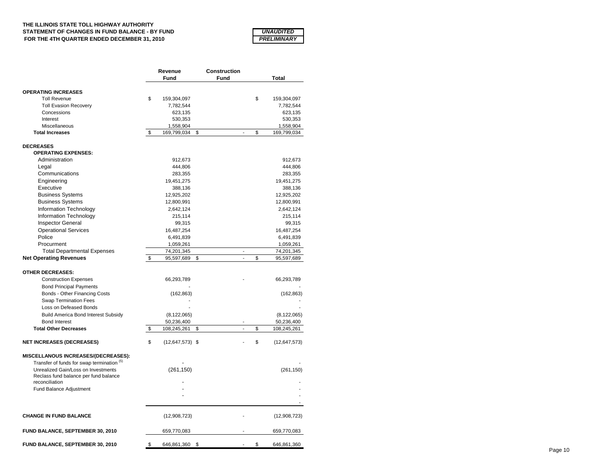### **THE ILLINOIS STATE TOLL HIGHWAY AUTHORITY STATEMENT OF CHANGES IN FUND BALANCE - BY FUND FOR THE 4TH QUARTER ENDED DECEMBER 31, 2010**

| <i><b>UNAUDITED</b></i>   |
|---------------------------|
| <i><b>PRELIMINARY</b></i> |

|                                            | Revenue |                     | Construction |                |    |                |
|--------------------------------------------|---------|---------------------|--------------|----------------|----|----------------|
|                                            |         | Fund                | Fund         |                |    | Total          |
| <b>OPERATING INCREASES</b>                 |         |                     |              |                |    |                |
| <b>Toll Revenue</b>                        | \$      | 159,304,097         |              |                | \$ | 159,304,097    |
| <b>Toll Evasion Recovery</b>               |         | 7,782,544           |              |                |    | 7,782,544      |
| Concessions                                |         | 623,135             |              |                |    | 623,135        |
| Interest                                   |         | 530,353             |              |                |    | 530,353        |
| Miscellaneous                              |         | 1,558,904           |              |                |    | 1,558,904      |
| <b>Total Increases</b>                     | \$      | 169,799,034         | \$           |                | \$ | 169,799,034    |
| <b>DECREASES</b>                           |         |                     |              |                |    |                |
| <b>OPERATING EXPENSES:</b>                 |         |                     |              |                |    |                |
| Administration                             |         | 912,673             |              |                |    | 912,673        |
| Legal                                      |         | 444,806             |              |                |    | 444,806        |
| Communications                             |         | 283,355             |              |                |    |                |
|                                            |         |                     |              |                |    | 283,355        |
| Engineering<br>Executive                   |         | 19,451,275          |              |                |    | 19,451,275     |
|                                            |         | 388,136             |              |                |    | 388,136        |
| <b>Business Systems</b>                    |         | 12,925,202          |              |                |    | 12,925,202     |
| <b>Business Systems</b>                    |         | 12,800,991          |              |                |    | 12,800,991     |
| Information Technology                     |         | 2,642,124           |              |                |    | 2,642,124      |
| Information Technology                     |         | 215,114             |              |                |    | 215,114        |
| <b>Inspector General</b>                   |         | 99,315              |              |                |    | 99,315         |
| <b>Operational Services</b>                |         | 16,487,254          |              |                |    | 16,487,254     |
| Police                                     |         | 6,491,839           |              |                |    | 6,491,839      |
| Procurment                                 |         | 1,059,261           |              |                |    | 1,059,261      |
| <b>Total Departmental Expenses</b>         |         | 74,201,345          |              | ÷,             |    | 74,201,345     |
| <b>Net Operating Revenues</b>              | \$      | 95,597,689          | \$           | $\overline{a}$ | \$ | 95,597,689     |
| <b>OTHER DECREASES:</b>                    |         |                     |              |                |    |                |
|                                            |         |                     |              |                |    |                |
| <b>Construction Expenses</b>               |         | 66,293,789          |              |                |    | 66,293,789     |
| <b>Bond Principal Payments</b>             |         |                     |              |                |    |                |
| Bonds - Other Financing Costs              |         | (162, 863)          |              |                |    | (162, 863)     |
| <b>Swap Termination Fees</b>               |         |                     |              |                |    |                |
| Loss on Defeased Bonds                     |         |                     |              |                |    |                |
| <b>Build America Bond Interest Subsidy</b> |         | (8, 122, 065)       |              |                |    | (8, 122, 065)  |
| <b>Bond Interest</b>                       |         | 50,236,400          |              |                |    | 50,236,400     |
| <b>Total Other Decreases</b>               | \$      | 108,245,261         | \$           | $\overline{a}$ | \$ | 108,245,261    |
| <b>NET INCREASES (DECREASES)</b>           | \$      | $(12, 647, 573)$ \$ |              |                | \$ | (12, 647, 573) |
| MISCELLANOUS INCREASES/(DECREASES):        |         |                     |              |                |    |                |
| Transfer of funds for swap termination (5) |         |                     |              |                |    |                |
| Unrealized Gain/Loss on Investments        |         | (261, 150)          |              |                |    | (261, 150)     |
| Reclass fund balance per fund balance      |         |                     |              |                |    |                |
| reconciliation                             |         |                     |              |                |    |                |
| Fund Balance Adjustment                    |         |                     |              |                |    |                |
|                                            |         |                     |              |                |    |                |
|                                            |         |                     |              |                |    |                |
| <b>CHANGE IN FUND BALANCE</b>              |         | (12,908,723)        |              |                |    | (12,908,723)   |
| FUND BALANCE, SEPTEMBER 30, 2010           |         | 659,770,083         |              |                |    | 659,770,083    |
| FUND BALANCE, SEPTEMBER 30, 2010           | \$      | 646,861,360         | \$           |                | \$ | 646,861,360    |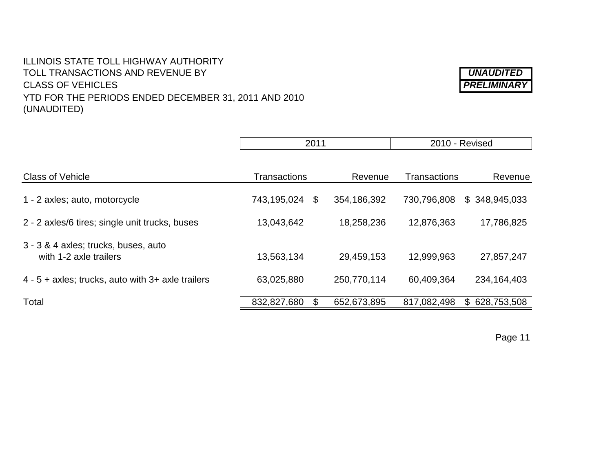# ILLINOIS STATE TOLL HIGHWAY AUTHORITY TOLL TRANSACTIONS AND REVENUE BY *UNAUDITED* CLASS OF VEHICLES *PRELIMINARY* YTD FOR THE PERIODS ENDED DECEMBER 31, 2011 AND 2010 (UNAUDITED)

|                                                                | 2011                |    | 2010 - Revised |                     |               |
|----------------------------------------------------------------|---------------------|----|----------------|---------------------|---------------|
| <b>Class of Vehicle</b>                                        | <b>Transactions</b> |    | Revenue        | <b>Transactions</b> | Revenue       |
| 1 - 2 axles; auto, motorcycle                                  | 743,195,024         | \$ | 354,186,392    | 730,796,808         | \$348,945,033 |
| 2 - 2 axles/6 tires; single unit trucks, buses                 | 13,043,642          |    | 18,258,236     | 12,876,363          | 17,786,825    |
| 3 - 3 & 4 axles; trucks, buses, auto<br>with 1-2 axle trailers | 13,563,134          |    | 29,459,153     | 12,999,963          | 27,857,247    |
| 4 - 5 + axles; trucks, auto with 3+ axle trailers              | 63,025,880          |    | 250,770,114    | 60,409,364          | 234, 164, 403 |
| Total                                                          | 832,827,680         |    | 652,673,895    | 817,082,498         | \$628,753,508 |

Page 11